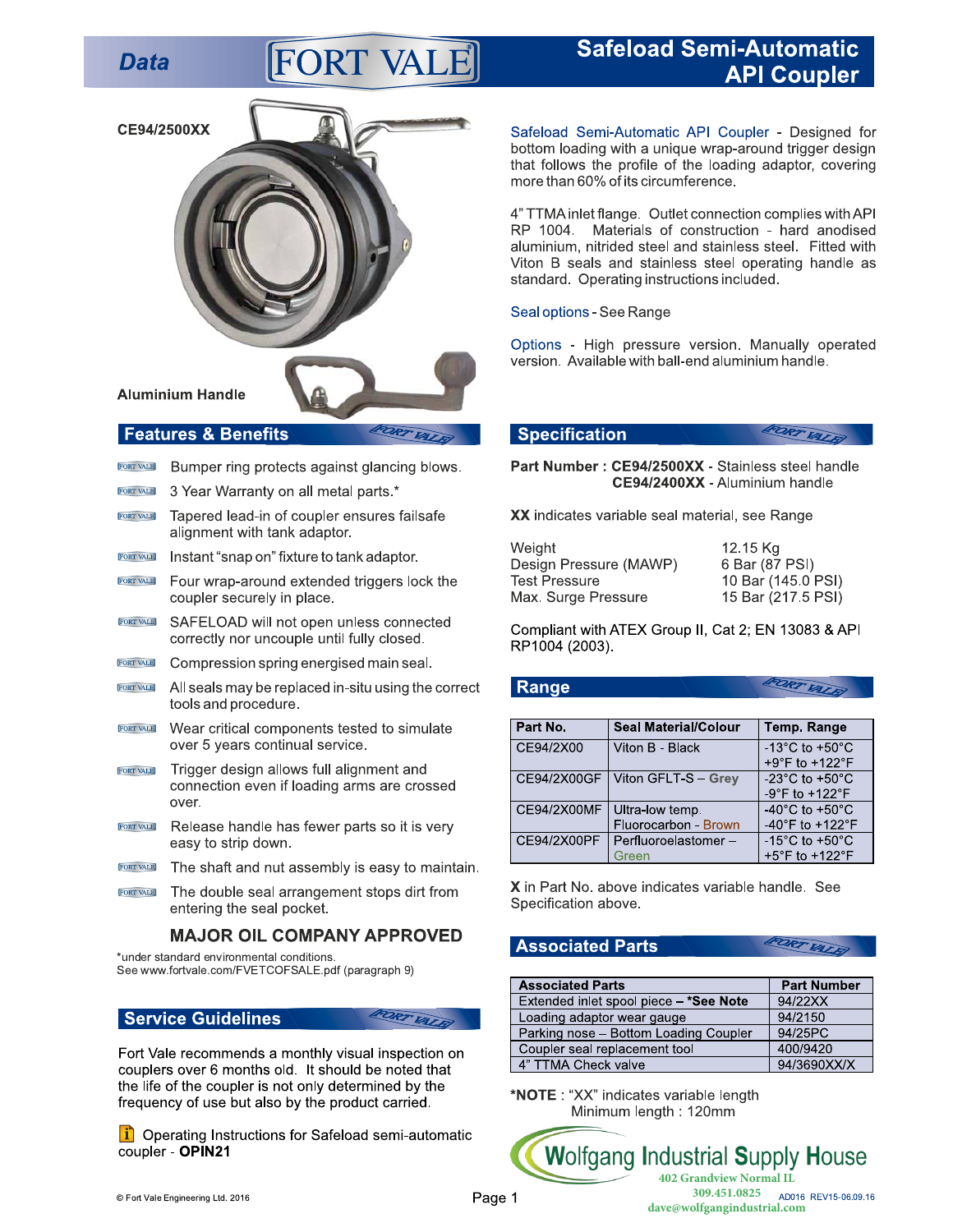Data

# **FORT VALE**



- Bumper ring protects against glancing blows. **FORT VALE**
- 3 Year Warranty on all metal parts.\* **FORT VALE**
- Tapered lead-in of coupler ensures failsafe **FORT VALE** alignment with tank adaptor.
- Instant "snap on" fixture to tank adaptor. **FORT VALE**
- Four wrap-around extended triggers lock the **FORT VALE** coupler securely in place.
- **FORT VALE** SAFELOAD will not open unless connected correctly nor uncouple until fully closed.
- **FORT VALE** Compression spring energised main seal.
- All seals may be replaced in-situ using the correct **FORT VALE** tools and procedure.
- **FORT WLE Wear critical components tested to simulate** over 5 years continual service.
- Trigger design allows full alignment and **FORT VALE** connection even if loading arms are crossed over
- **FORT VALE** Release handle has fewer parts so it is very easy to strip down.
- **FORT VALE** The shaft and nut assembly is easy to maintain.
- The double seal arrangement stops dirt from **FORT VALE** entering the seal pocket.

## **MAJOR OIL COMPANY APPROVED**

\*under standard environmental conditions. See www.fortvale.com/FVETCOFSALE.pdf (paragraph 9)

### **Service Guidelines**

Fort Vale recommends a monthly visual inspection on couplers over 6 months old. It should be noted that the life of the coupler is not only determined by the frequency of use but also by the product carried.

i Operating Instructions for Safeload semi-automatic coupler - OPIN21

## **Safeload Semi-Automatic API Coupler**

Safeload Semi-Automatic API Coupler - Designed for bottom loading with a unique wrap-around trigger design that follows the profile of the loading adaptor, covering more than 60% of its circumference.

4" TTMA inlet flange. Outlet connection complies with API RP 1004. Materials of construction - hard anodised aluminium, nitrided steel and stainless steel. Fitted with Viton B seals and stainless steel operating handle as standard. Operating instructions included.

#### Seal options - See Range

Options - High pressure version. Manually operated version. Available with ball-end aluminium handle.

FORT VALA

FORT VALE!

DRT VALE

#### **Specification**

Range

Part Number: CE94/2500XX - Stainless steel handle CE94/2400XX - Aluminium handle

XX indicates variable seal material, see Range

| Weight                 | 12.15 Kg           |
|------------------------|--------------------|
| Design Pressure (MAWP) | 6 Bar (87 PSI)     |
| <b>Test Pressure</b>   | 10 Bar (145.0 PSI) |
| Max. Surge Pressure    | 15 Bar (217.5 PSI) |

Compliant with ATEX Group II, Cat 2; EN 13083 & API RP1004 (2003).

| Part No.    | <b>Seal Material/Colour</b>             | Temp. Range                                                                |
|-------------|-----------------------------------------|----------------------------------------------------------------------------|
| CE94/2X00   | Viton B - Black                         | -13 $^{\circ}$ C to +50 $^{\circ}$ C<br>+9 $\degree$ F to +122 $\degree$ F |
| CE94/2X00GF | Viton GFLT-S - Grey                     | $-23^{\circ}$ C to $+50^{\circ}$ C<br>-9°F to $+122$ °F                    |
| CE94/2X00MF | Ultra-low temp.<br>Fluorocarbon - Brown | $-40^{\circ}$ C to $+50^{\circ}$ C<br>-40°F to $+122$ °F                   |
| CE94/2X00PF | Perfluoroelastomer-<br>Green            | -15 $^{\circ}$ C to +50 $^{\circ}$ C<br>$+5^{\circ}$ F to $+122^{\circ}$ F |

X in Part No. above indicates variable handle. See Specification above.

#### **Associated Parts**

| <b>Associated Parts</b>                | <b>Part Number</b> |
|----------------------------------------|--------------------|
| Extended inlet spool piece - *See Note | 94/22XX            |
| Loading adaptor wear gauge             | 94/2150            |
| Parking nose - Bottom Loading Coupler  | 94/25PC            |
| Coupler seal replacement tool          | 400/9420           |
| 4" TTMA Check valve                    | 94/3690XX/X        |

\*NOTE : "XX" indicates variable length Minimum length: 120mm

**Wolfgang Industrial Supply House** 402 Grandview Normal IL 309.451.0825 AD016 REV15-06.09.16 dave@wolfgangindustrial.com

© Fort Vale Engineering Ltd. 2016

FORT VATE